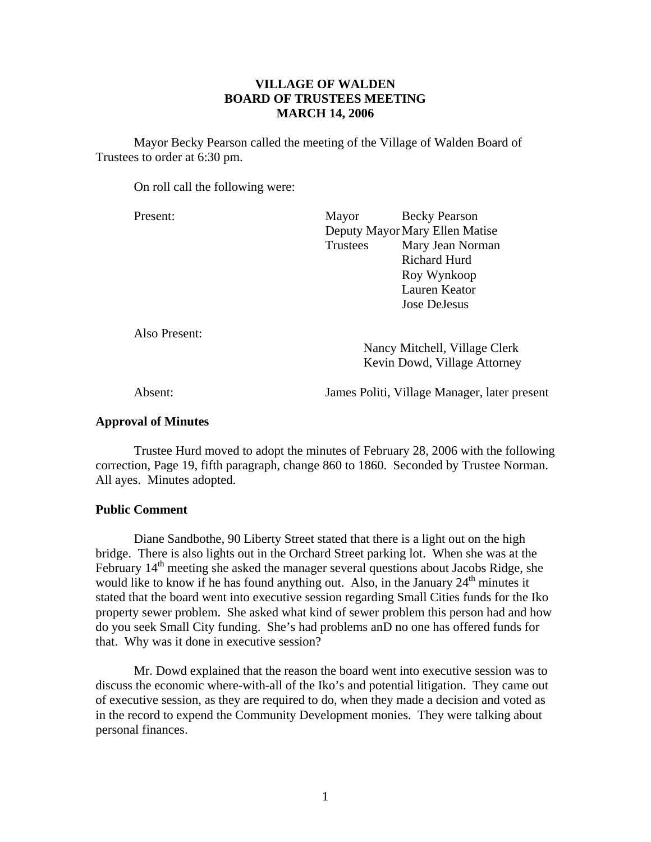# **VILLAGE OF WALDEN BOARD OF TRUSTEES MEETING MARCH 14, 2006**

 Mayor Becky Pearson called the meeting of the Village of Walden Board of Trustees to order at 6:30 pm.

On roll call the following were:

Present: Mayor Becky Pearson Deputy Mayor Mary Ellen Matise Trustees Mary Jean Norman Richard Hurd Roy Wynkoop Lauren Keator Jose DeJesus

Also Present:

 Nancy Mitchell, Village Clerk Kevin Dowd, Village Attorney

Absent: James Politi, Village Manager, later present

### **Approval of Minutes**

Trustee Hurd moved to adopt the minutes of February 28, 2006 with the following correction, Page 19, fifth paragraph, change 860 to 1860. Seconded by Trustee Norman. All ayes. Minutes adopted.

## **Public Comment**

Diane Sandbothe, 90 Liberty Street stated that there is a light out on the high bridge. There is also lights out in the Orchard Street parking lot. When she was at the February 14<sup>th</sup> meeting she asked the manager several questions about Jacobs Ridge, she would like to know if he has found anything out. Also, in the January  $24<sup>th</sup>$  minutes it stated that the board went into executive session regarding Small Cities funds for the Iko property sewer problem. She asked what kind of sewer problem this person had and how do you seek Small City funding. She's had problems anD no one has offered funds for that. Why was it done in executive session?

 Mr. Dowd explained that the reason the board went into executive session was to discuss the economic where-with-all of the Iko's and potential litigation. They came out of executive session, as they are required to do, when they made a decision and voted as in the record to expend the Community Development monies. They were talking about personal finances.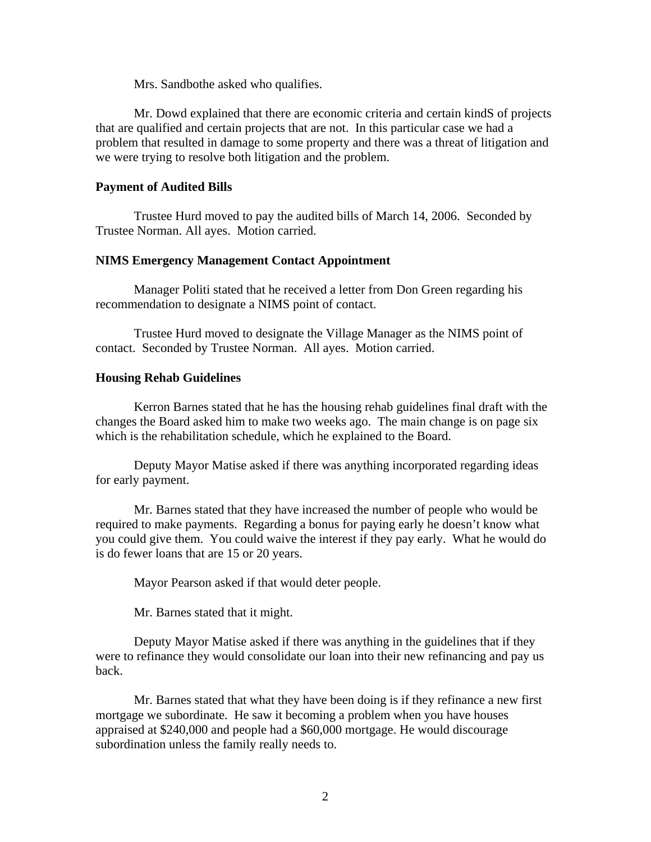Mrs. Sandbothe asked who qualifies.

 Mr. Dowd explained that there are economic criteria and certain kindS of projects that are qualified and certain projects that are not. In this particular case we had a problem that resulted in damage to some property and there was a threat of litigation and we were trying to resolve both litigation and the problem.

### **Payment of Audited Bills**

Trustee Hurd moved to pay the audited bills of March 14, 2006. Seconded by Trustee Norman. All ayes. Motion carried.

#### **NIMS Emergency Management Contact Appointment**

Manager Politi stated that he received a letter from Don Green regarding his recommendation to designate a NIMS point of contact.

 Trustee Hurd moved to designate the Village Manager as the NIMS point of contact. Seconded by Trustee Norman. All ayes. Motion carried.

#### **Housing Rehab Guidelines**

Kerron Barnes stated that he has the housing rehab guidelines final draft with the changes the Board asked him to make two weeks ago. The main change is on page six which is the rehabilitation schedule, which he explained to the Board.

 Deputy Mayor Matise asked if there was anything incorporated regarding ideas for early payment.

 Mr. Barnes stated that they have increased the number of people who would be required to make payments. Regarding a bonus for paying early he doesn't know what you could give them. You could waive the interest if they pay early. What he would do is do fewer loans that are 15 or 20 years.

Mayor Pearson asked if that would deter people.

Mr. Barnes stated that it might.

 Deputy Mayor Matise asked if there was anything in the guidelines that if they were to refinance they would consolidate our loan into their new refinancing and pay us back.

 Mr. Barnes stated that what they have been doing is if they refinance a new first mortgage we subordinate. He saw it becoming a problem when you have houses appraised at \$240,000 and people had a \$60,000 mortgage. He would discourage subordination unless the family really needs to.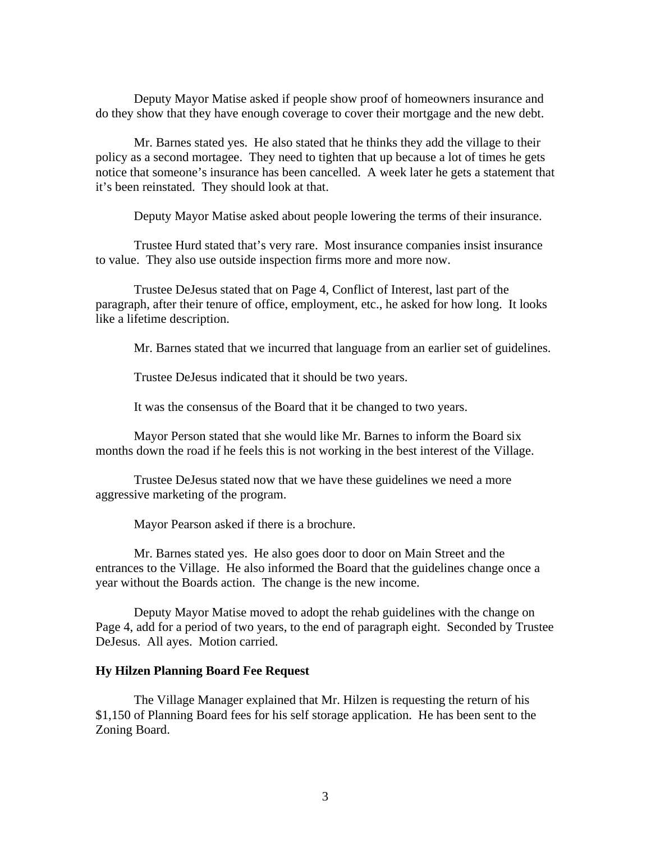Deputy Mayor Matise asked if people show proof of homeowners insurance and do they show that they have enough coverage to cover their mortgage and the new debt.

Mr. Barnes stated yes. He also stated that he thinks they add the village to their policy as a second mortagee. They need to tighten that up because a lot of times he gets notice that someone's insurance has been cancelled. A week later he gets a statement that it's been reinstated. They should look at that.

Deputy Mayor Matise asked about people lowering the terms of their insurance.

Trustee Hurd stated that's very rare. Most insurance companies insist insurance to value. They also use outside inspection firms more and more now.

Trustee DeJesus stated that on Page 4, Conflict of Interest, last part of the paragraph, after their tenure of office, employment, etc., he asked for how long. It looks like a lifetime description.

Mr. Barnes stated that we incurred that language from an earlier set of guidelines.

Trustee DeJesus indicated that it should be two years.

It was the consensus of the Board that it be changed to two years.

Mayor Person stated that she would like Mr. Barnes to inform the Board six months down the road if he feels this is not working in the best interest of the Village.

Trustee DeJesus stated now that we have these guidelines we need a more aggressive marketing of the program.

Mayor Pearson asked if there is a brochure.

Mr. Barnes stated yes. He also goes door to door on Main Street and the entrances to the Village. He also informed the Board that the guidelines change once a year without the Boards action. The change is the new income.

Deputy Mayor Matise moved to adopt the rehab guidelines with the change on Page 4, add for a period of two years, to the end of paragraph eight. Seconded by Trustee DeJesus. All ayes. Motion carried.

#### **Hy Hilzen Planning Board Fee Request**

The Village Manager explained that Mr. Hilzen is requesting the return of his \$1,150 of Planning Board fees for his self storage application. He has been sent to the Zoning Board.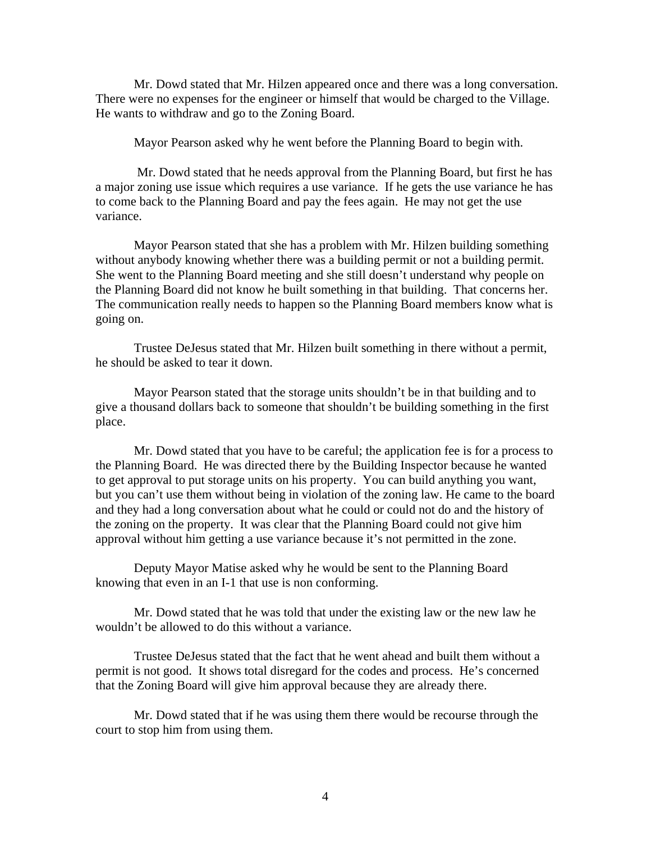Mr. Dowd stated that Mr. Hilzen appeared once and there was a long conversation. There were no expenses for the engineer or himself that would be charged to the Village. He wants to withdraw and go to the Zoning Board.

Mayor Pearson asked why he went before the Planning Board to begin with.

 Mr. Dowd stated that he needs approval from the Planning Board, but first he has a major zoning use issue which requires a use variance. If he gets the use variance he has to come back to the Planning Board and pay the fees again. He may not get the use variance.

Mayor Pearson stated that she has a problem with Mr. Hilzen building something without anybody knowing whether there was a building permit or not a building permit. She went to the Planning Board meeting and she still doesn't understand why people on the Planning Board did not know he built something in that building. That concerns her. The communication really needs to happen so the Planning Board members know what is going on.

Trustee DeJesus stated that Mr. Hilzen built something in there without a permit, he should be asked to tear it down.

Mayor Pearson stated that the storage units shouldn't be in that building and to give a thousand dollars back to someone that shouldn't be building something in the first place.

Mr. Dowd stated that you have to be careful; the application fee is for a process to the Planning Board. He was directed there by the Building Inspector because he wanted to get approval to put storage units on his property. You can build anything you want, but you can't use them without being in violation of the zoning law. He came to the board and they had a long conversation about what he could or could not do and the history of the zoning on the property. It was clear that the Planning Board could not give him approval without him getting a use variance because it's not permitted in the zone.

Deputy Mayor Matise asked why he would be sent to the Planning Board knowing that even in an I-1 that use is non conforming.

Mr. Dowd stated that he was told that under the existing law or the new law he wouldn't be allowed to do this without a variance.

Trustee DeJesus stated that the fact that he went ahead and built them without a permit is not good. It shows total disregard for the codes and process. He's concerned that the Zoning Board will give him approval because they are already there.

Mr. Dowd stated that if he was using them there would be recourse through the court to stop him from using them.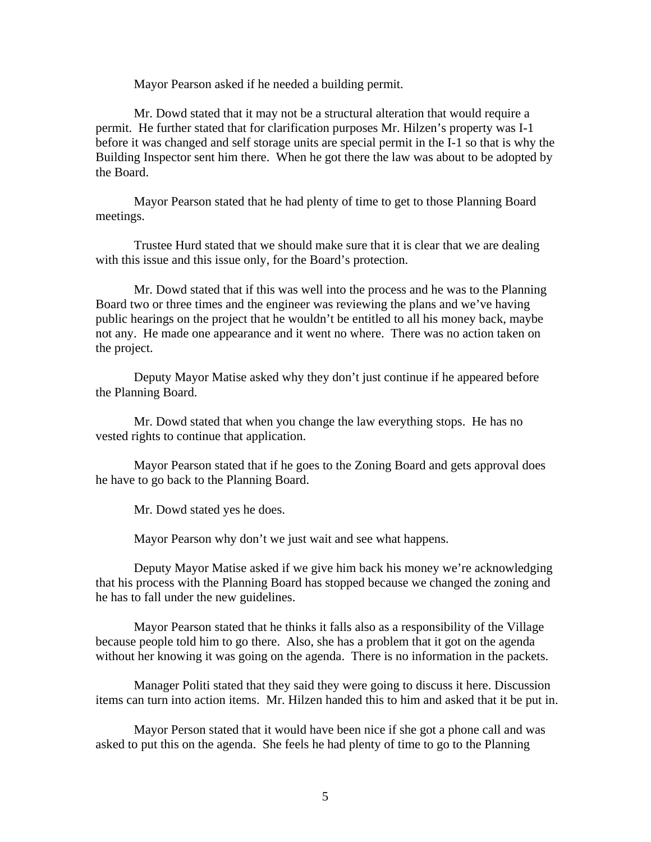Mayor Pearson asked if he needed a building permit.

Mr. Dowd stated that it may not be a structural alteration that would require a permit. He further stated that for clarification purposes Mr. Hilzen's property was I-1 before it was changed and self storage units are special permit in the I-1 so that is why the Building Inspector sent him there. When he got there the law was about to be adopted by the Board.

Mayor Pearson stated that he had plenty of time to get to those Planning Board meetings.

Trustee Hurd stated that we should make sure that it is clear that we are dealing with this issue and this issue only, for the Board's protection.

 Mr. Dowd stated that if this was well into the process and he was to the Planning Board two or three times and the engineer was reviewing the plans and we've having public hearings on the project that he wouldn't be entitled to all his money back, maybe not any. He made one appearance and it went no where. There was no action taken on the project.

 Deputy Mayor Matise asked why they don't just continue if he appeared before the Planning Board.

Mr. Dowd stated that when you change the law everything stops. He has no vested rights to continue that application.

Mayor Pearson stated that if he goes to the Zoning Board and gets approval does he have to go back to the Planning Board.

Mr. Dowd stated yes he does.

Mayor Pearson why don't we just wait and see what happens.

Deputy Mayor Matise asked if we give him back his money we're acknowledging that his process with the Planning Board has stopped because we changed the zoning and he has to fall under the new guidelines.

Mayor Pearson stated that he thinks it falls also as a responsibility of the Village because people told him to go there. Also, she has a problem that it got on the agenda without her knowing it was going on the agenda. There is no information in the packets.

Manager Politi stated that they said they were going to discuss it here. Discussion items can turn into action items. Mr. Hilzen handed this to him and asked that it be put in.

Mayor Person stated that it would have been nice if she got a phone call and was asked to put this on the agenda. She feels he had plenty of time to go to the Planning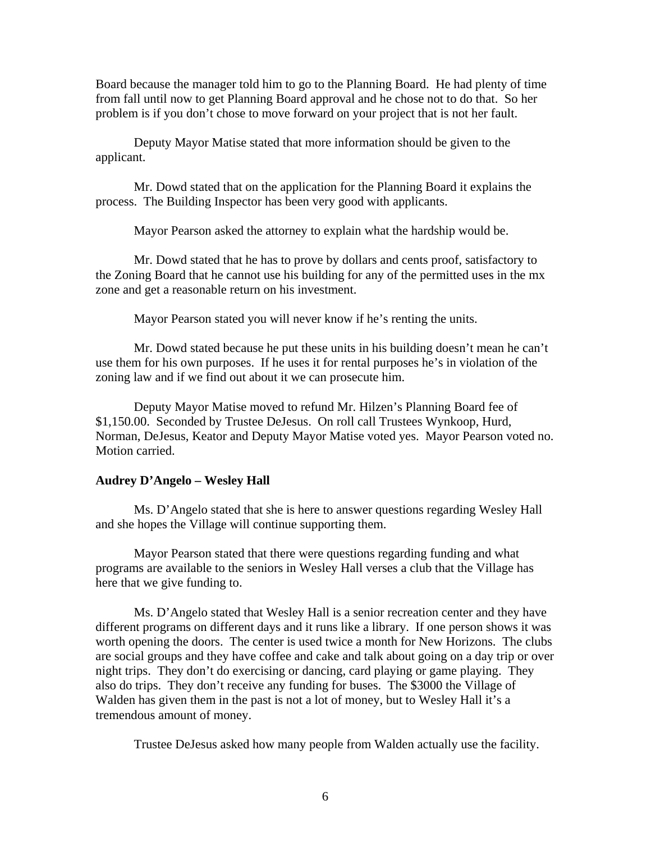Board because the manager told him to go to the Planning Board. He had plenty of time from fall until now to get Planning Board approval and he chose not to do that. So her problem is if you don't chose to move forward on your project that is not her fault.

Deputy Mayor Matise stated that more information should be given to the applicant.

Mr. Dowd stated that on the application for the Planning Board it explains the process. The Building Inspector has been very good with applicants.

Mayor Pearson asked the attorney to explain what the hardship would be.

Mr. Dowd stated that he has to prove by dollars and cents proof, satisfactory to the Zoning Board that he cannot use his building for any of the permitted uses in the mx zone and get a reasonable return on his investment.

Mayor Pearson stated you will never know if he's renting the units.

Mr. Dowd stated because he put these units in his building doesn't mean he can't use them for his own purposes. If he uses it for rental purposes he's in violation of the zoning law and if we find out about it we can prosecute him.

Deputy Mayor Matise moved to refund Mr. Hilzen's Planning Board fee of \$1,150.00. Seconded by Trustee DeJesus. On roll call Trustees Wynkoop, Hurd, Norman, DeJesus, Keator and Deputy Mayor Matise voted yes. Mayor Pearson voted no. Motion carried.

#### **Audrey D'Angelo – Wesley Hall**

Ms. D'Angelo stated that she is here to answer questions regarding Wesley Hall and she hopes the Village will continue supporting them.

 Mayor Pearson stated that there were questions regarding funding and what programs are available to the seniors in Wesley Hall verses a club that the Village has here that we give funding to.

 Ms. D'Angelo stated that Wesley Hall is a senior recreation center and they have different programs on different days and it runs like a library. If one person shows it was worth opening the doors. The center is used twice a month for New Horizons. The clubs are social groups and they have coffee and cake and talk about going on a day trip or over night trips. They don't do exercising or dancing, card playing or game playing. They also do trips. They don't receive any funding for buses. The \$3000 the Village of Walden has given them in the past is not a lot of money, but to Wesley Hall it's a tremendous amount of money.

Trustee DeJesus asked how many people from Walden actually use the facility.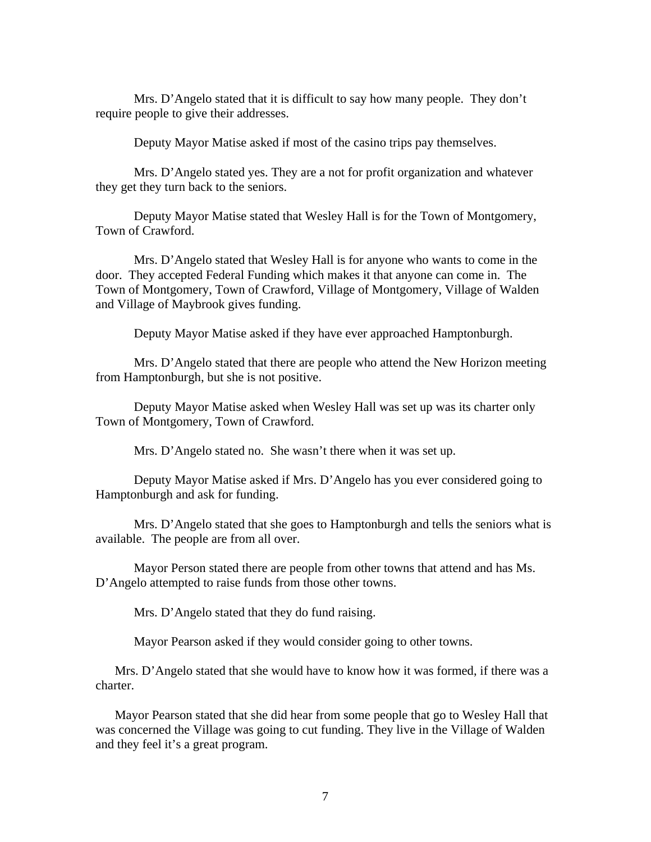Mrs. D'Angelo stated that it is difficult to say how many people. They don't require people to give their addresses.

Deputy Mayor Matise asked if most of the casino trips pay themselves.

Mrs. D'Angelo stated yes. They are a not for profit organization and whatever they get they turn back to the seniors.

Deputy Mayor Matise stated that Wesley Hall is for the Town of Montgomery, Town of Crawford.

Mrs. D'Angelo stated that Wesley Hall is for anyone who wants to come in the door. They accepted Federal Funding which makes it that anyone can come in. The Town of Montgomery, Town of Crawford, Village of Montgomery, Village of Walden and Village of Maybrook gives funding.

Deputy Mayor Matise asked if they have ever approached Hamptonburgh.

Mrs. D'Angelo stated that there are people who attend the New Horizon meeting from Hamptonburgh, but she is not positive.

Deputy Mayor Matise asked when Wesley Hall was set up was its charter only Town of Montgomery, Town of Crawford.

Mrs. D'Angelo stated no. She wasn't there when it was set up.

Deputy Mayor Matise asked if Mrs. D'Angelo has you ever considered going to Hamptonburgh and ask for funding.

Mrs. D'Angelo stated that she goes to Hamptonburgh and tells the seniors what is available. The people are from all over.

Mayor Person stated there are people from other towns that attend and has Ms. D'Angelo attempted to raise funds from those other towns.

Mrs. D'Angelo stated that they do fund raising.

Mayor Pearson asked if they would consider going to other towns.

Mrs. D'Angelo stated that she would have to know how it was formed, if there was a charter.

Mayor Pearson stated that she did hear from some people that go to Wesley Hall that was concerned the Village was going to cut funding. They live in the Village of Walden and they feel it's a great program.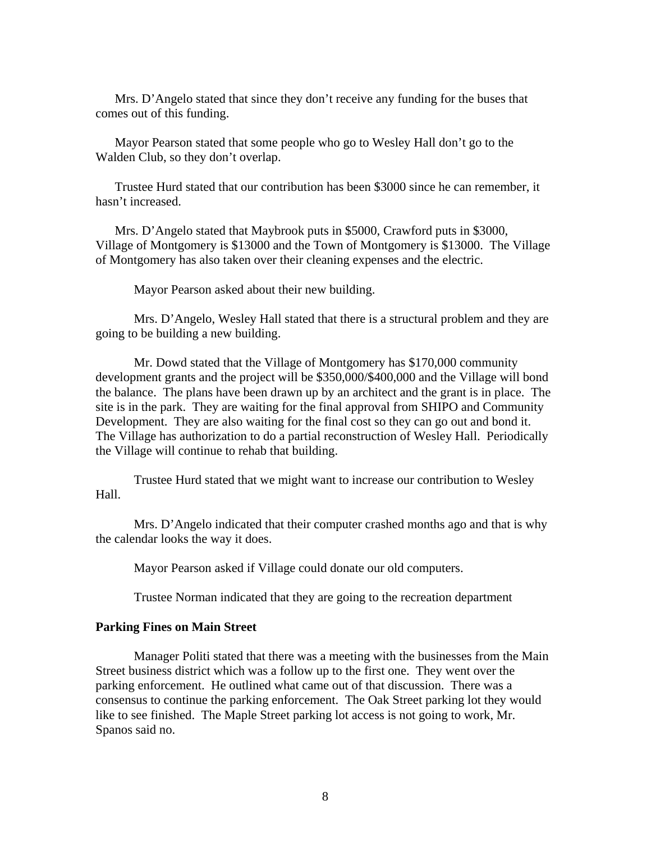Mrs. D'Angelo stated that since they don't receive any funding for the buses that comes out of this funding.

Mayor Pearson stated that some people who go to Wesley Hall don't go to the Walden Club, so they don't overlap.

Trustee Hurd stated that our contribution has been \$3000 since he can remember, it hasn't increased.

Mrs. D'Angelo stated that Maybrook puts in \$5000, Crawford puts in \$3000, Village of Montgomery is \$13000 and the Town of Montgomery is \$13000. The Village of Montgomery has also taken over their cleaning expenses and the electric.

Mayor Pearson asked about their new building.

Mrs. D'Angelo, Wesley Hall stated that there is a structural problem and they are going to be building a new building.

Mr. Dowd stated that the Village of Montgomery has \$170,000 community development grants and the project will be \$350,000/\$400,000 and the Village will bond the balance. The plans have been drawn up by an architect and the grant is in place. The site is in the park. They are waiting for the final approval from SHIPO and Community Development. They are also waiting for the final cost so they can go out and bond it. The Village has authorization to do a partial reconstruction of Wesley Hall. Periodically the Village will continue to rehab that building.

Trustee Hurd stated that we might want to increase our contribution to Wesley Hall.

Mrs. D'Angelo indicated that their computer crashed months ago and that is why the calendar looks the way it does.

Mayor Pearson asked if Village could donate our old computers.

Trustee Norman indicated that they are going to the recreation department

### **Parking Fines on Main Street**

Manager Politi stated that there was a meeting with the businesses from the Main Street business district which was a follow up to the first one. They went over the parking enforcement. He outlined what came out of that discussion. There was a consensus to continue the parking enforcement. The Oak Street parking lot they would like to see finished. The Maple Street parking lot access is not going to work, Mr. Spanos said no.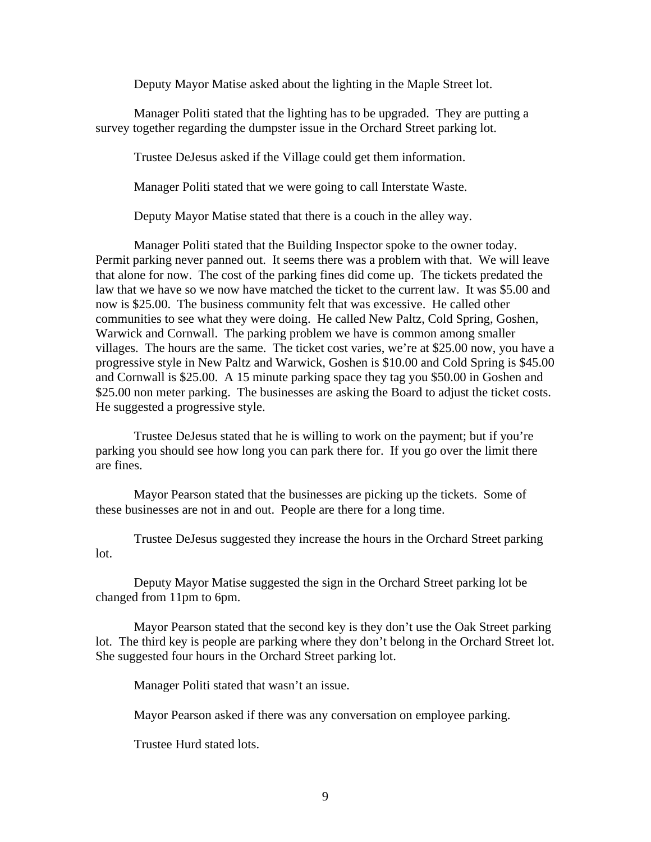Deputy Mayor Matise asked about the lighting in the Maple Street lot.

Manager Politi stated that the lighting has to be upgraded. They are putting a survey together regarding the dumpster issue in the Orchard Street parking lot.

Trustee DeJesus asked if the Village could get them information.

Manager Politi stated that we were going to call Interstate Waste.

Deputy Mayor Matise stated that there is a couch in the alley way.

Manager Politi stated that the Building Inspector spoke to the owner today. Permit parking never panned out. It seems there was a problem with that. We will leave that alone for now. The cost of the parking fines did come up. The tickets predated the law that we have so we now have matched the ticket to the current law. It was \$5.00 and now is \$25.00. The business community felt that was excessive. He called other communities to see what they were doing. He called New Paltz, Cold Spring, Goshen, Warwick and Cornwall. The parking problem we have is common among smaller villages. The hours are the same. The ticket cost varies, we're at \$25.00 now, you have a progressive style in New Paltz and Warwick, Goshen is \$10.00 and Cold Spring is \$45.00 and Cornwall is \$25.00. A 15 minute parking space they tag you \$50.00 in Goshen and \$25.00 non meter parking. The businesses are asking the Board to adjust the ticket costs. He suggested a progressive style.

 Trustee DeJesus stated that he is willing to work on the payment; but if you're parking you should see how long you can park there for. If you go over the limit there are fines.

 Mayor Pearson stated that the businesses are picking up the tickets. Some of these businesses are not in and out. People are there for a long time.

 Trustee DeJesus suggested they increase the hours in the Orchard Street parking lot.

 Deputy Mayor Matise suggested the sign in the Orchard Street parking lot be changed from 11pm to 6pm.

 Mayor Pearson stated that the second key is they don't use the Oak Street parking lot. The third key is people are parking where they don't belong in the Orchard Street lot. She suggested four hours in the Orchard Street parking lot.

Manager Politi stated that wasn't an issue.

Mayor Pearson asked if there was any conversation on employee parking.

Trustee Hurd stated lots.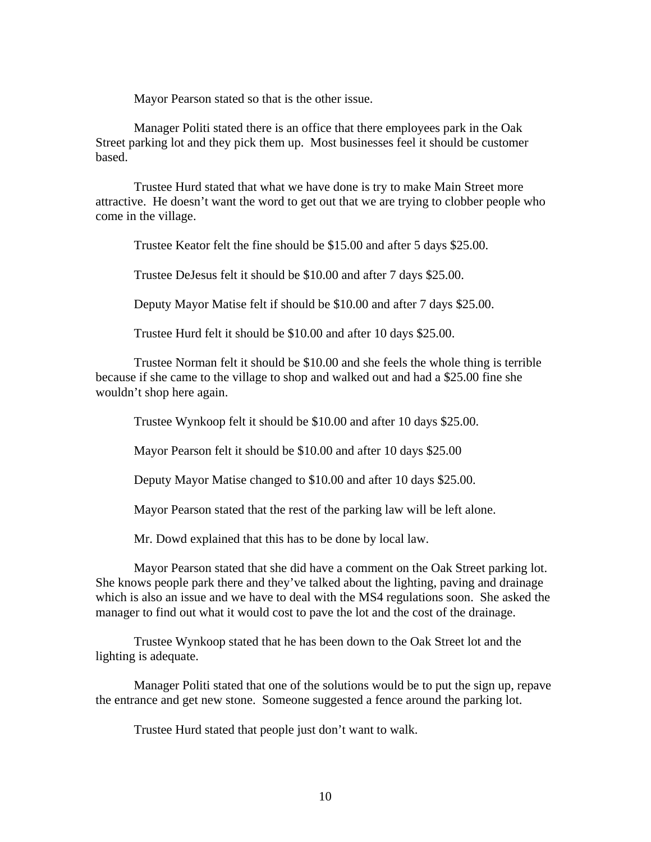Mayor Pearson stated so that is the other issue.

 Manager Politi stated there is an office that there employees park in the Oak Street parking lot and they pick them up. Most businesses feel it should be customer based.

 Trustee Hurd stated that what we have done is try to make Main Street more attractive. He doesn't want the word to get out that we are trying to clobber people who come in the village.

Trustee Keator felt the fine should be \$15.00 and after 5 days \$25.00.

Trustee DeJesus felt it should be \$10.00 and after 7 days \$25.00.

Deputy Mayor Matise felt if should be \$10.00 and after 7 days \$25.00.

Trustee Hurd felt it should be \$10.00 and after 10 days \$25.00.

 Trustee Norman felt it should be \$10.00 and she feels the whole thing is terrible because if she came to the village to shop and walked out and had a \$25.00 fine she wouldn't shop here again.

Trustee Wynkoop felt it should be \$10.00 and after 10 days \$25.00.

Mayor Pearson felt it should be \$10.00 and after 10 days \$25.00

Deputy Mayor Matise changed to \$10.00 and after 10 days \$25.00.

Mayor Pearson stated that the rest of the parking law will be left alone.

Mr. Dowd explained that this has to be done by local law.

 Mayor Pearson stated that she did have a comment on the Oak Street parking lot. She knows people park there and they've talked about the lighting, paving and drainage which is also an issue and we have to deal with the MS4 regulations soon. She asked the manager to find out what it would cost to pave the lot and the cost of the drainage.

 Trustee Wynkoop stated that he has been down to the Oak Street lot and the lighting is adequate.

 Manager Politi stated that one of the solutions would be to put the sign up, repave the entrance and get new stone. Someone suggested a fence around the parking lot.

Trustee Hurd stated that people just don't want to walk.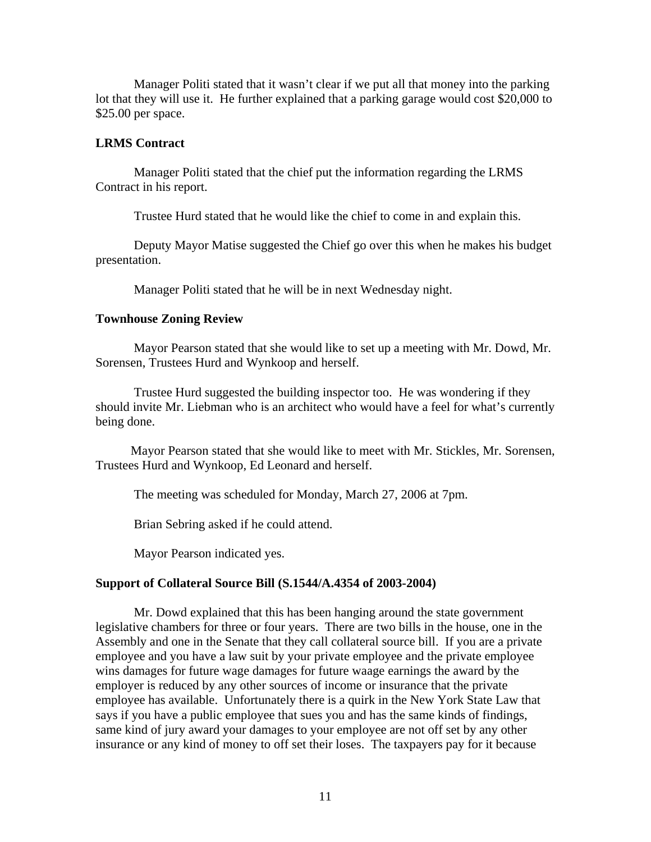Manager Politi stated that it wasn't clear if we put all that money into the parking lot that they will use it. He further explained that a parking garage would cost \$20,000 to \$25.00 per space.

### **LRMS Contract**

 Manager Politi stated that the chief put the information regarding the LRMS Contract in his report.

Trustee Hurd stated that he would like the chief to come in and explain this.

 Deputy Mayor Matise suggested the Chief go over this when he makes his budget presentation.

Manager Politi stated that he will be in next Wednesday night.

#### **Townhouse Zoning Review**

Mayor Pearson stated that she would like to set up a meeting with Mr. Dowd, Mr. Sorensen, Trustees Hurd and Wynkoop and herself.

 Trustee Hurd suggested the building inspector too. He was wondering if they should invite Mr. Liebman who is an architect who would have a feel for what's currently being done.

 Mayor Pearson stated that she would like to meet with Mr. Stickles, Mr. Sorensen, Trustees Hurd and Wynkoop, Ed Leonard and herself.

The meeting was scheduled for Monday, March 27, 2006 at 7pm.

Brian Sebring asked if he could attend.

Mayor Pearson indicated yes.

### **Support of Collateral Source Bill (S.1544/A.4354 of 2003-2004)**

Mr. Dowd explained that this has been hanging around the state government legislative chambers for three or four years. There are two bills in the house, one in the Assembly and one in the Senate that they call collateral source bill. If you are a private employee and you have a law suit by your private employee and the private employee wins damages for future wage damages for future waage earnings the award by the employer is reduced by any other sources of income or insurance that the private employee has available. Unfortunately there is a quirk in the New York State Law that says if you have a public employee that sues you and has the same kinds of findings, same kind of jury award your damages to your employee are not off set by any other insurance or any kind of money to off set their loses. The taxpayers pay for it because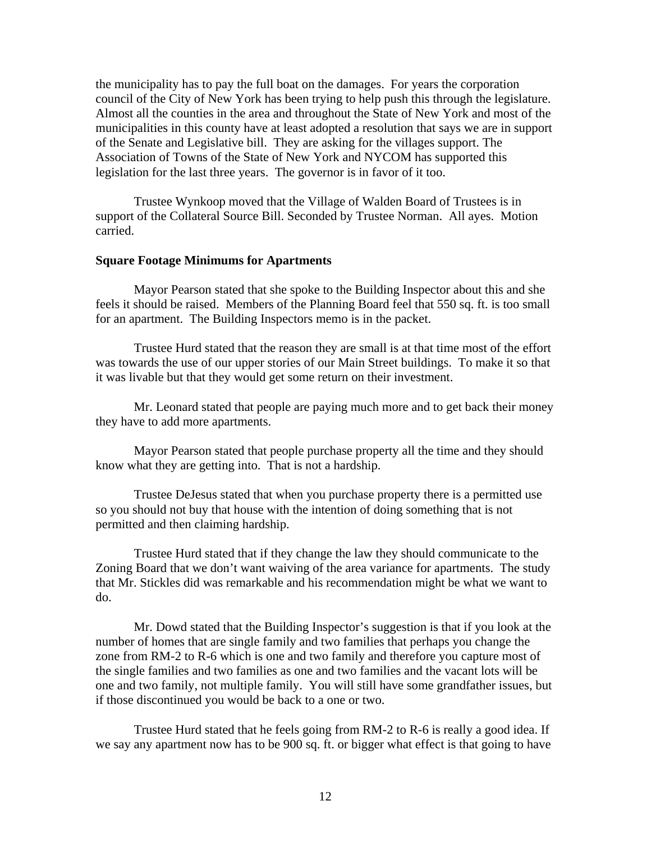the municipality has to pay the full boat on the damages. For years the corporation council of the City of New York has been trying to help push this through the legislature. Almost all the counties in the area and throughout the State of New York and most of the municipalities in this county have at least adopted a resolution that says we are in support of the Senate and Legislative bill. They are asking for the villages support. The Association of Towns of the State of New York and NYCOM has supported this legislation for the last three years. The governor is in favor of it too.

 Trustee Wynkoop moved that the Village of Walden Board of Trustees is in support of the Collateral Source Bill. Seconded by Trustee Norman. All ayes. Motion carried.

## **Square Footage Minimums for Apartments**

Mayor Pearson stated that she spoke to the Building Inspector about this and she feels it should be raised. Members of the Planning Board feel that 550 sq. ft. is too small for an apartment. The Building Inspectors memo is in the packet.

 Trustee Hurd stated that the reason they are small is at that time most of the effort was towards the use of our upper stories of our Main Street buildings. To make it so that it was livable but that they would get some return on their investment.

 Mr. Leonard stated that people are paying much more and to get back their money they have to add more apartments.

 Mayor Pearson stated that people purchase property all the time and they should know what they are getting into. That is not a hardship.

 Trustee DeJesus stated that when you purchase property there is a permitted use so you should not buy that house with the intention of doing something that is not permitted and then claiming hardship.

 Trustee Hurd stated that if they change the law they should communicate to the Zoning Board that we don't want waiving of the area variance for apartments. The study that Mr. Stickles did was remarkable and his recommendation might be what we want to do.

 Mr. Dowd stated that the Building Inspector's suggestion is that if you look at the number of homes that are single family and two families that perhaps you change the zone from RM-2 to R-6 which is one and two family and therefore you capture most of the single families and two families as one and two families and the vacant lots will be one and two family, not multiple family. You will still have some grandfather issues, but if those discontinued you would be back to a one or two.

 Trustee Hurd stated that he feels going from RM-2 to R-6 is really a good idea. If we say any apartment now has to be 900 sq. ft. or bigger what effect is that going to have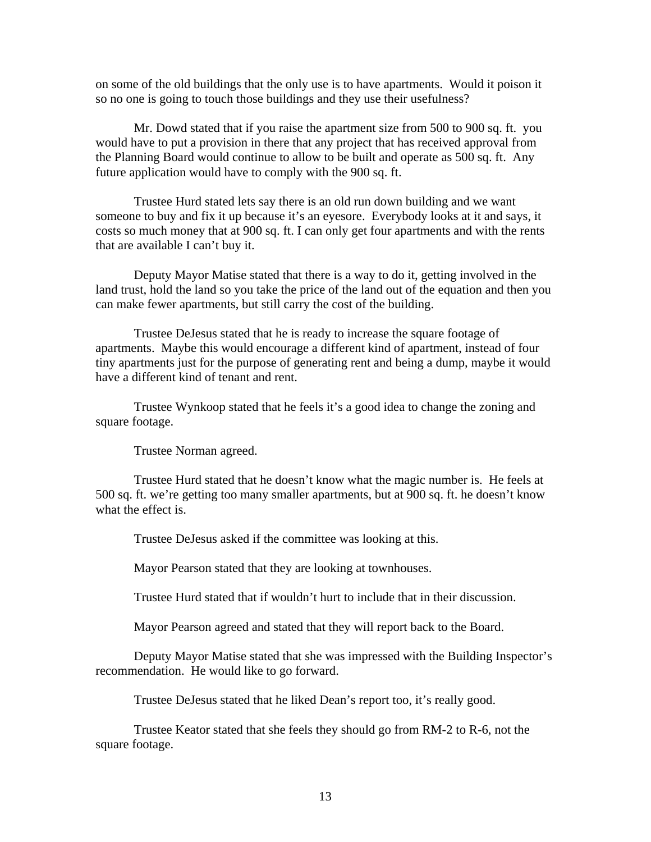on some of the old buildings that the only use is to have apartments. Would it poison it so no one is going to touch those buildings and they use their usefulness?

 Mr. Dowd stated that if you raise the apartment size from 500 to 900 sq. ft. you would have to put a provision in there that any project that has received approval from the Planning Board would continue to allow to be built and operate as 500 sq. ft. Any future application would have to comply with the 900 sq. ft.

 Trustee Hurd stated lets say there is an old run down building and we want someone to buy and fix it up because it's an eyesore. Everybody looks at it and says, it costs so much money that at 900 sq. ft. I can only get four apartments and with the rents that are available I can't buy it.

 Deputy Mayor Matise stated that there is a way to do it, getting involved in the land trust, hold the land so you take the price of the land out of the equation and then you can make fewer apartments, but still carry the cost of the building.

 Trustee DeJesus stated that he is ready to increase the square footage of apartments. Maybe this would encourage a different kind of apartment, instead of four tiny apartments just for the purpose of generating rent and being a dump, maybe it would have a different kind of tenant and rent.

 Trustee Wynkoop stated that he feels it's a good idea to change the zoning and square footage.

Trustee Norman agreed.

 Trustee Hurd stated that he doesn't know what the magic number is. He feels at 500 sq. ft. we're getting too many smaller apartments, but at 900 sq. ft. he doesn't know what the effect is.

Trustee DeJesus asked if the committee was looking at this.

Mayor Pearson stated that they are looking at townhouses.

Trustee Hurd stated that if wouldn't hurt to include that in their discussion.

Mayor Pearson agreed and stated that they will report back to the Board.

 Deputy Mayor Matise stated that she was impressed with the Building Inspector's recommendation. He would like to go forward.

Trustee DeJesus stated that he liked Dean's report too, it's really good.

 Trustee Keator stated that she feels they should go from RM-2 to R-6, not the square footage.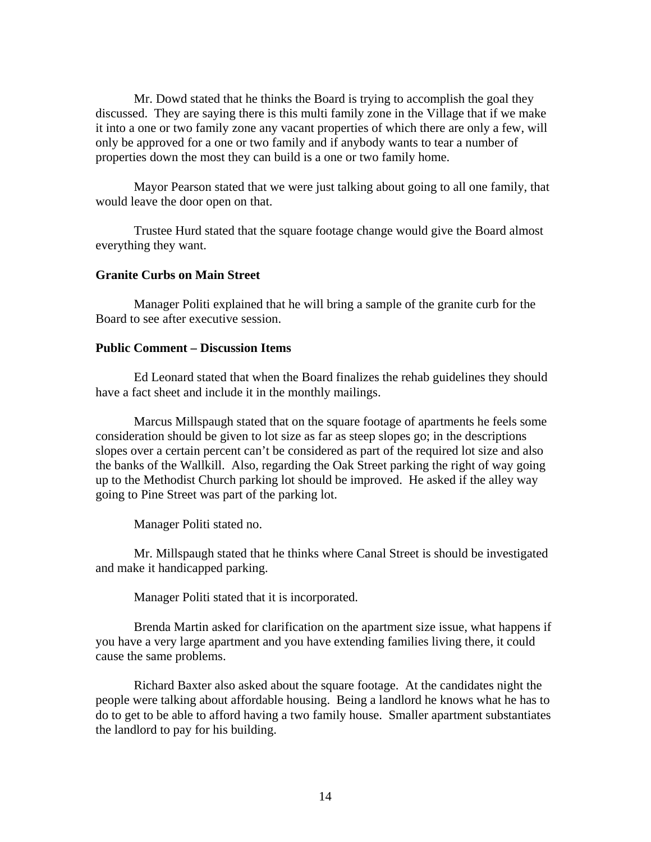Mr. Dowd stated that he thinks the Board is trying to accomplish the goal they discussed. They are saying there is this multi family zone in the Village that if we make it into a one or two family zone any vacant properties of which there are only a few, will only be approved for a one or two family and if anybody wants to tear a number of properties down the most they can build is a one or two family home.

 Mayor Pearson stated that we were just talking about going to all one family, that would leave the door open on that.

 Trustee Hurd stated that the square footage change would give the Board almost everything they want.

### **Granite Curbs on Main Street**

Manager Politi explained that he will bring a sample of the granite curb for the Board to see after executive session.

### **Public Comment – Discussion Items**

Ed Leonard stated that when the Board finalizes the rehab guidelines they should have a fact sheet and include it in the monthly mailings.

 Marcus Millspaugh stated that on the square footage of apartments he feels some consideration should be given to lot size as far as steep slopes go; in the descriptions slopes over a certain percent can't be considered as part of the required lot size and also the banks of the Wallkill. Also, regarding the Oak Street parking the right of way going up to the Methodist Church parking lot should be improved. He asked if the alley way going to Pine Street was part of the parking lot.

Manager Politi stated no.

 Mr. Millspaugh stated that he thinks where Canal Street is should be investigated and make it handicapped parking.

Manager Politi stated that it is incorporated.

 Brenda Martin asked for clarification on the apartment size issue, what happens if you have a very large apartment and you have extending families living there, it could cause the same problems.

 Richard Baxter also asked about the square footage. At the candidates night the people were talking about affordable housing. Being a landlord he knows what he has to do to get to be able to afford having a two family house. Smaller apartment substantiates the landlord to pay for his building.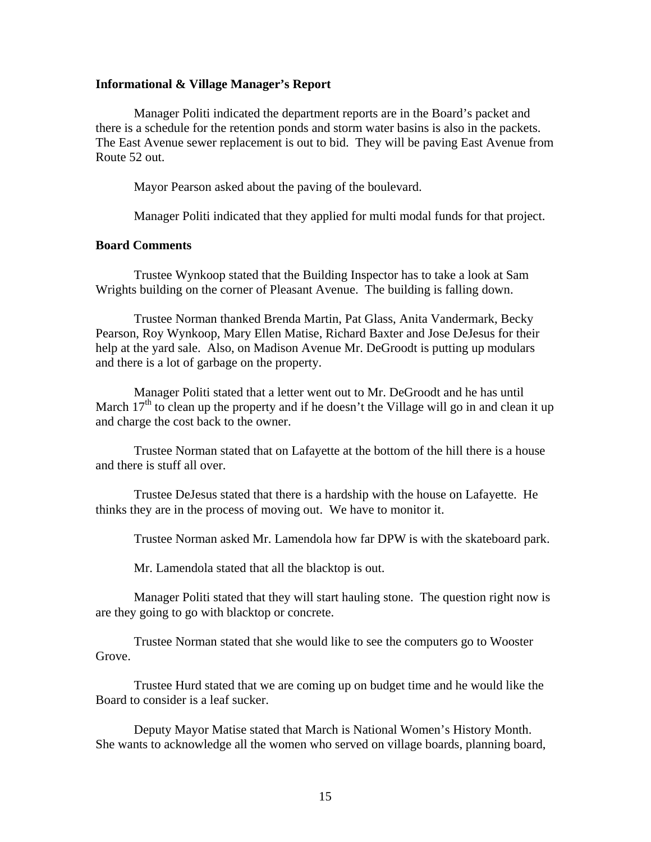#### **Informational & Village Manager's Report**

Manager Politi indicated the department reports are in the Board's packet and there is a schedule for the retention ponds and storm water basins is also in the packets. The East Avenue sewer replacement is out to bid. They will be paving East Avenue from Route 52 out.

Mayor Pearson asked about the paving of the boulevard.

Manager Politi indicated that they applied for multi modal funds for that project.

# **Board Comments**

Trustee Wynkoop stated that the Building Inspector has to take a look at Sam Wrights building on the corner of Pleasant Avenue. The building is falling down.

 Trustee Norman thanked Brenda Martin, Pat Glass, Anita Vandermark, Becky Pearson, Roy Wynkoop, Mary Ellen Matise, Richard Baxter and Jose DeJesus for their help at the yard sale. Also, on Madison Avenue Mr. DeGroodt is putting up modulars and there is a lot of garbage on the property.

 Manager Politi stated that a letter went out to Mr. DeGroodt and he has until March  $17<sup>th</sup>$  to clean up the property and if he doesn't the Village will go in and clean it up and charge the cost back to the owner.

 Trustee Norman stated that on Lafayette at the bottom of the hill there is a house and there is stuff all over.

 Trustee DeJesus stated that there is a hardship with the house on Lafayette. He thinks they are in the process of moving out. We have to monitor it.

Trustee Norman asked Mr. Lamendola how far DPW is with the skateboard park.

Mr. Lamendola stated that all the blacktop is out.

 Manager Politi stated that they will start hauling stone. The question right now is are they going to go with blacktop or concrete.

 Trustee Norman stated that she would like to see the computers go to Wooster Grove.

 Trustee Hurd stated that we are coming up on budget time and he would like the Board to consider is a leaf sucker.

 Deputy Mayor Matise stated that March is National Women's History Month. She wants to acknowledge all the women who served on village boards, planning board,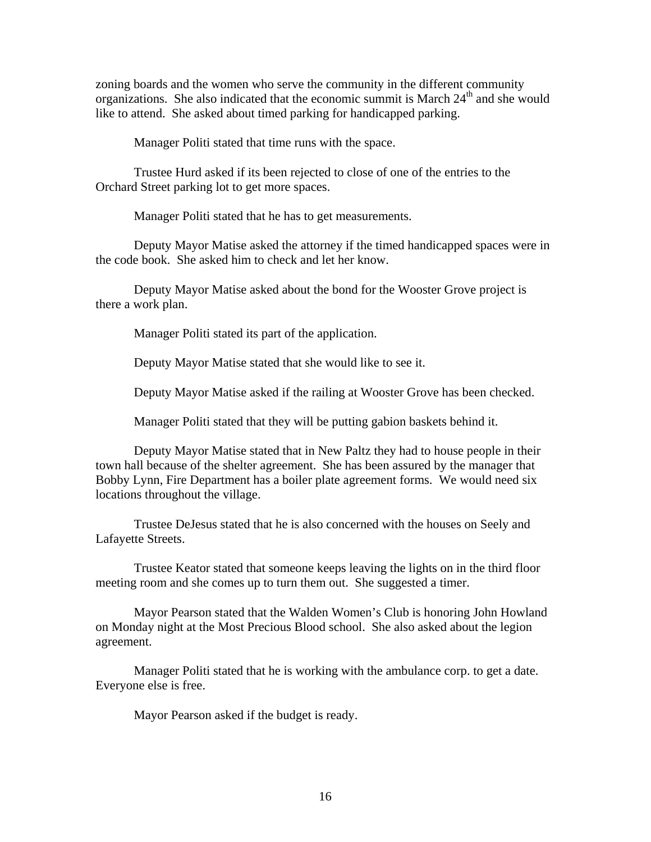zoning boards and the women who serve the community in the different community organizations. She also indicated that the economic summit is March 24<sup>th</sup> and she would like to attend. She asked about timed parking for handicapped parking.

Manager Politi stated that time runs with the space.

 Trustee Hurd asked if its been rejected to close of one of the entries to the Orchard Street parking lot to get more spaces.

Manager Politi stated that he has to get measurements.

 Deputy Mayor Matise asked the attorney if the timed handicapped spaces were in the code book. She asked him to check and let her know.

 Deputy Mayor Matise asked about the bond for the Wooster Grove project is there a work plan.

Manager Politi stated its part of the application.

Deputy Mayor Matise stated that she would like to see it.

Deputy Mayor Matise asked if the railing at Wooster Grove has been checked.

Manager Politi stated that they will be putting gabion baskets behind it.

 Deputy Mayor Matise stated that in New Paltz they had to house people in their town hall because of the shelter agreement. She has been assured by the manager that Bobby Lynn, Fire Department has a boiler plate agreement forms. We would need six locations throughout the village.

 Trustee DeJesus stated that he is also concerned with the houses on Seely and Lafayette Streets.

 Trustee Keator stated that someone keeps leaving the lights on in the third floor meeting room and she comes up to turn them out. She suggested a timer.

 Mayor Pearson stated that the Walden Women's Club is honoring John Howland on Monday night at the Most Precious Blood school. She also asked about the legion agreement.

 Manager Politi stated that he is working with the ambulance corp. to get a date. Everyone else is free.

Mayor Pearson asked if the budget is ready.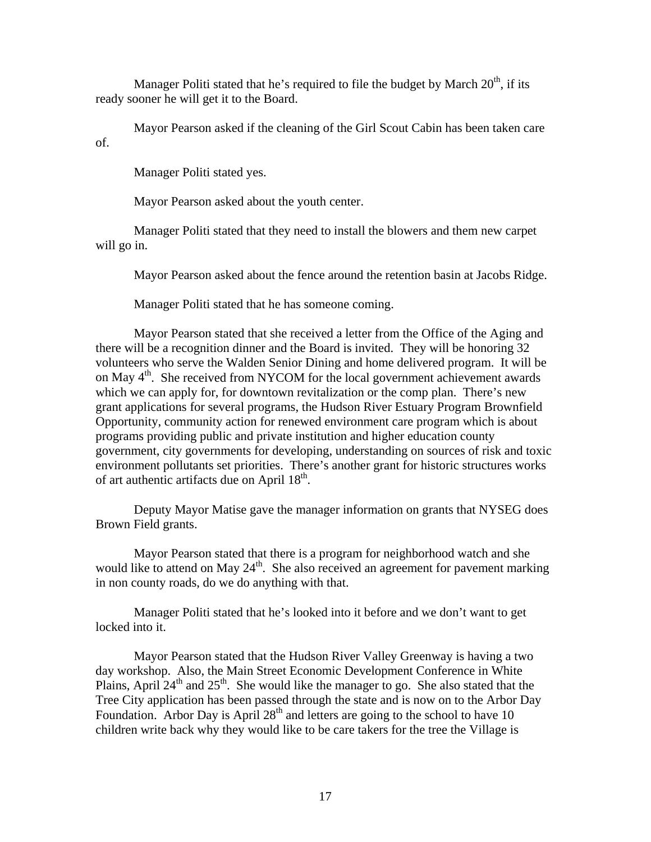Manager Politi stated that he's required to file the budget by March  $20<sup>th</sup>$ , if its ready sooner he will get it to the Board.

 Mayor Pearson asked if the cleaning of the Girl Scout Cabin has been taken care of.

Manager Politi stated yes.

Mayor Pearson asked about the youth center.

 Manager Politi stated that they need to install the blowers and them new carpet will go in.

Mayor Pearson asked about the fence around the retention basin at Jacobs Ridge.

Manager Politi stated that he has someone coming.

 Mayor Pearson stated that she received a letter from the Office of the Aging and there will be a recognition dinner and the Board is invited. They will be honoring 32 volunteers who serve the Walden Senior Dining and home delivered program. It will be on May 4<sup>th</sup>. She received from NYCOM for the local government achievement awards which we can apply for, for downtown revitalization or the comp plan. There's new grant applications for several programs, the Hudson River Estuary Program Brownfield Opportunity, community action for renewed environment care program which is about programs providing public and private institution and higher education county government, city governments for developing, understanding on sources of risk and toxic environment pollutants set priorities. There's another grant for historic structures works of art authentic artifacts due on April  $18<sup>th</sup>$ .

 Deputy Mayor Matise gave the manager information on grants that NYSEG does Brown Field grants.

 Mayor Pearson stated that there is a program for neighborhood watch and she would like to attend on May  $24<sup>th</sup>$ . She also received an agreement for pavement marking in non county roads, do we do anything with that.

 Manager Politi stated that he's looked into it before and we don't want to get locked into it.

 Mayor Pearson stated that the Hudson River Valley Greenway is having a two day workshop. Also, the Main Street Economic Development Conference in White Plains, April  $24<sup>th</sup>$  and  $25<sup>th</sup>$ . She would like the manager to go. She also stated that the Tree City application has been passed through the state and is now on to the Arbor Day Foundation. Arbor Day is April  $28<sup>th</sup>$  and letters are going to the school to have 10 children write back why they would like to be care takers for the tree the Village is